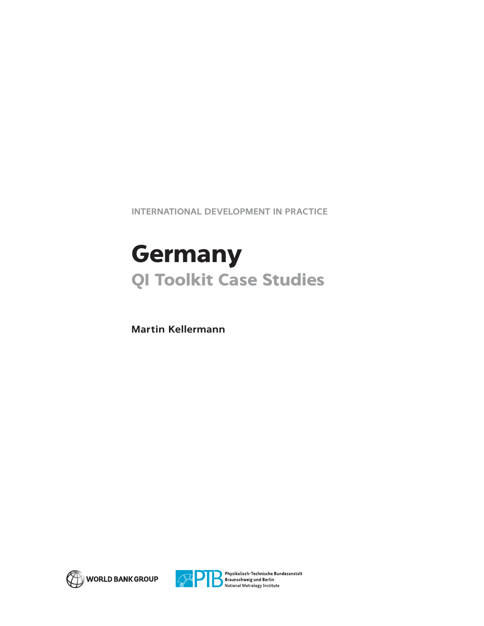**INTERNATIONAL DEVELOPMENT IN PRACTICE**

# **Germany QI Toolkit Case Studies**

**Martin Kellermann**





Physikalisch-Technische Bundesanstalt Braunschweig und Berlin<br>National Metrology Institute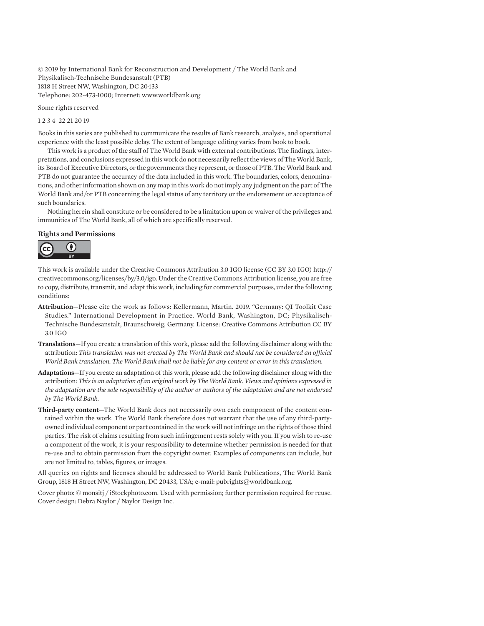© 2019 by International Bank for Reconstruction and Development / The World Bank and Physikalisch-Technische Bundesanstalt (PTB) 1818 H Street NW, Washington, DC 20433 Telephone: 202-473-1000; Internet: www.worldbank.org

Some rights reserved

1 2 3 4 22 21 20 19

Books in this series are published to communicate the results of Bank research, analysis, and operational experience with the least possible delay. The extent of language editing varies from book to book.

This work is a product of the staff of The World Bank with external contributions. The findings, interpretations, and conclusions expressed in this work do not necessarily reflect the views of The World Bank, its Board of Executive Directors, or the governments they represent, or those of PTB. The World Bank and PTB do not guarantee the accuracy of the data included in this work. The boundaries, colors, denominations, and other information shown on any map in this work do not imply any judgment on the part of The World Bank and/or PTB concerning the legal status of any territory or the endorsement or acceptance of such boundaries.

Nothing herein shall constitute or be considered to be a limitation upon or waiver of the privileges and immunities of The World Bank, all of which are specifically reserved.

#### **Rights and Permissions**



This work is available under the Creative Commons Attribution 3.0 IGO license (CC BY 3.0 IGO) http:// creativecommons.org/licenses/by/3.0/igo. Under the Creative Commons Attribution license, you are free to copy, distribute, transmit, and adapt this work, including for commercial purposes, under the following conditions:

- **Attribution**—Please cite the work as follows: Kellermann, Martin. 2019. "Germany: QI Toolkit Case Studies." International Development in Practice. World Bank, Washington, DC; Physikalisch-Technische Bundesanstalt, Braunschweig, Germany. License: Creative Commons Attribution CC BY 3.0 IGO
- **Translations**—If you create a translation of this work, please add the following disclaimer along with the attribution: *This translation was not created by The World Bank and should not be considered an official World Bank translation. The World Bank shall not be liable for any content or error in this translation.*
- **Adaptations**—If you create an adaptation of this work, please add the following disclaimer along with the attribution: *This is an adaptation of an original work by The World Bank. Views and opinions expressed in the adaptation are the sole responsibility of the author or authors of the adaptation and are not endorsed by The World Bank.*
- **Third-party content**—The World Bank does not necessarily own each component of the content contained within the work. The World Bank therefore does not warrant that the use of any third-partyowned individual component or part contained in the work will not infringe on the rights of those third parties. The risk of claims resulting from such infringement rests solely with you. If you wish to re-use a component of the work, it is your responsibility to determine whether permission is needed for that re-use and to obtain permission from the copyright owner. Examples of components can include, but are not limited to, tables, figures, or images.

All queries on rights and licenses should be addressed to World Bank Publications, The World Bank Group, 1818 H Street NW, Washington, DC 20433, USA; e-mail: pubrights@worldbank.org.

Cover photo: © monsitj / iStockphoto.com. Used with permission; further permission required for reuse. Cover design: Debra Naylor / Naylor Design Inc.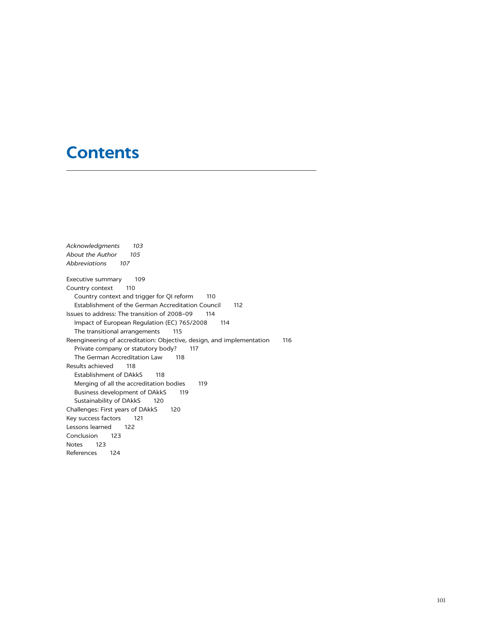## **Contents**

*Acknowledgments 103 About the Author 105 Abbreviations 107* Executive summary 109 Country context 110 Country context and trigger for QI reform 110 Establishment of the German Accreditation Council 112 Issues to address: The transition of 2008–09 114 Impact of European Regulation (EC) 765/2008 114 The transitional arrangements 115 Reengineering of accreditation: Objective, design, and implementation 116 Private company or statutory body? 117 The German Accreditation Law 118 Results achieved 118 Establishment of DAkkS 118 Merging of all the accreditation bodies 119 Business development of DAkkS 119 Sustainability of DAkkS 120 Challenges: First years of DAkkS 120 Key success factors 121 Lessons learned 122 Conclusion 123 Notes 123 References 124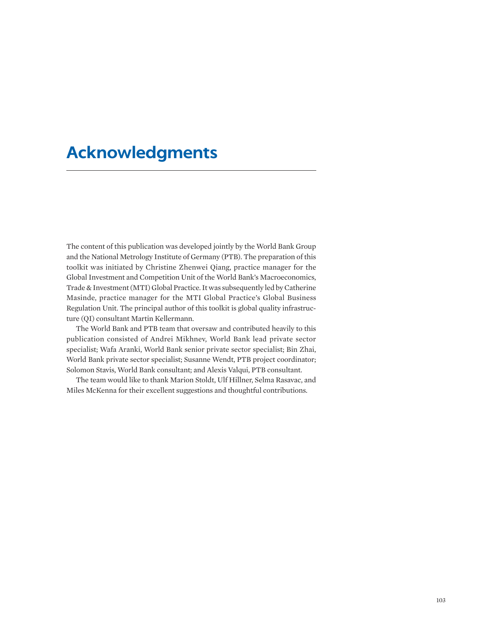## **Acknowledgments**

The content of this publication was developed jointly by the World Bank Group and the National Metrology Institute of Germany (PTB). The preparation of this toolkit was initiated by Christine Zhenwei Qiang, practice manager for the Global Investment and Competition Unit of the World Bank's Macroeconomics, Trade & Investment (MTI) Global Practice. It was subsequently led by Catherine Masinde, practice manager for the MTI Global Practice's Global Business Regulation Unit. The principal author of this toolkit is global quality infrastructure (QI) consultant Martin Kellermann.

The World Bank and PTB team that oversaw and contributed heavily to this publication consisted of Andrei Mikhnev, World Bank lead private sector specialist; Wafa Aranki, World Bank senior private sector specialist; Bin Zhai, World Bank private sector specialist; Susanne Wendt, PTB project coordinator; Solomon Stavis, World Bank consultant; and Alexis Valqui, PTB consultant.

The team would like to thank Marion Stoldt, Ulf Hillner, Selma Rasavac, and Miles McKenna for their excellent suggestions and thoughtful contributions.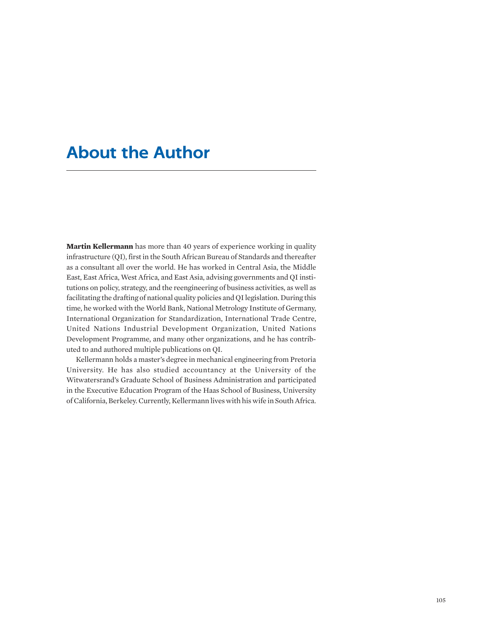### **About the Author**

**Martin Kellermann** has more than 40 years of experience working in quality infrastructure (QI), first in the South African Bureau of Standards and thereafter as a consultant all over the world. He has worked in Central Asia, the Middle East, East Africa, West Africa, and East Asia, advising governments and QI institutions on policy, strategy, and the reengineering of business activities, as well as facilitating the drafting of national quality policies and QI legislation. During this time, he worked with the World Bank, National Metrology Institute of Germany, International Organization for Standardization, International Trade Centre, United Nations Industrial Development Organization, United Nations Development Programme, and many other organizations, and he has contributed to and authored multiple publications on QI.

Kellermann holds a master's degree in mechanical engineering from Pretoria University. He has also studied accountancy at the University of the Witwatersrand's Graduate School of Business Administration and participated in the Executive Education Program of the Haas School of Business, University of California, Berkeley. Currently, Kellermann lives with his wife in South Africa.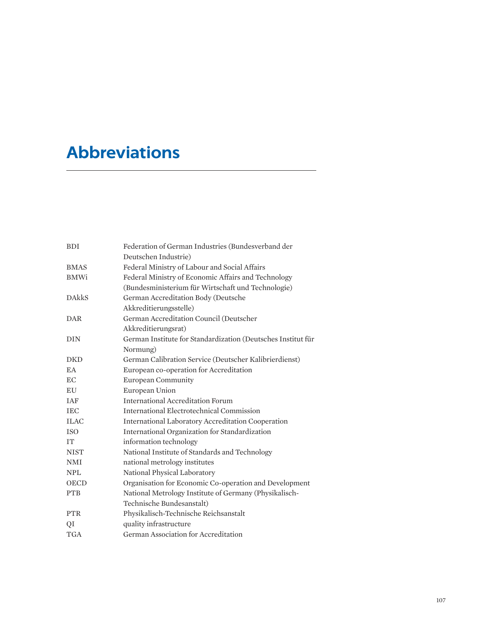## **Abbreviations**

| <b>BDI</b>   | Federation of German Industries (Bundesverband der           |
|--------------|--------------------------------------------------------------|
|              | Deutschen Industrie)                                         |
| <b>BMAS</b>  | Federal Ministry of Labour and Social Affairs                |
| <b>BMWi</b>  | Federal Ministry of Economic Affairs and Technology          |
|              | (Bundesministerium für Wirtschaft und Technologie)           |
| <b>DAkkS</b> | German Accreditation Body (Deutsche                          |
|              | Akkreditierungsstelle)                                       |
| DAR          | German Accreditation Council (Deutscher                      |
|              | Akkreditierungsrat)                                          |
| DIN          | German Institute for Standardization (Deutsches Institut für |
|              | Normung)                                                     |
| <b>DKD</b>   | German Calibration Service (Deutscher Kalibrierdienst)       |
| EA           | European co-operation for Accreditation                      |
| EC.          | <b>European Community</b>                                    |
| EU           | European Union                                               |
| <b>TAF</b>   | <b>International Accreditation Forum</b>                     |
| <b>IEC</b>   | International Electrotechnical Commission                    |
| <b>ILAC</b>  | <b>International Laboratory Accreditation Cooperation</b>    |
| <b>ISO</b>   | International Organization for Standardization               |
| <b>TT</b>    | information technology                                       |
| <b>NIST</b>  | National Institute of Standards and Technology               |
| <b>NMI</b>   | national metrology institutes                                |
| <b>NPL</b>   | National Physical Laboratory                                 |
| <b>OECD</b>  | Organisation for Economic Co-operation and Development       |
| <b>PTB</b>   | National Metrology Institute of Germany (Physikalisch-       |
|              | Technische Bundesanstalt)                                    |
| <b>PTR</b>   | Physikalisch-Technische Reichsanstalt                        |
| QI           | quality infrastructure                                       |
| <b>TGA</b>   | German Association for Accreditation                         |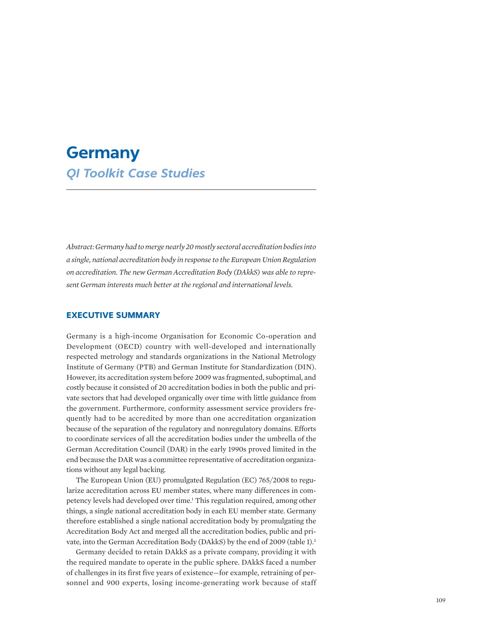## **Germany** *QI Toolkit Case Studies*

*Abstract: Germany had to merge nearly 20 mostly sectoral accreditation bodies into a single, national accreditation body in response to the European Union Regulation on accreditation. The new German Accreditation Body (DAkkS) was able to represent German interests much better at the regional and international levels.*

#### **EXECUTIVE SUMMARY**

Germany is a high-income Organisation for Economic Co-operation and Development (OECD) country with well-developed and internationally respected metrology and standards organizations in the National Metrology Institute of Germany (PTB) and German Institute for Standardization (DIN). However, its accreditation system before 2009 was fragmented, suboptimal, and costly because it consisted of 20 accreditation bodies in both the public and private sectors that had developed organically over time with little guidance from the government. Furthermore, conformity assessment service providers frequently had to be accredited by more than one accreditation organization because of the separation of the regulatory and nonregulatory domains. Efforts to coordinate services of all the accreditation bodies under the umbrella of the German Accreditation Council (DAR) in the early 1990s proved limited in the end because the DAR was a committee representative of accreditation organizations without any legal backing.

The European Union (EU) promulgated Regulation (EC) 765/2008 to regularize accreditation across EU member states, where many differences in competency levels had developed over time.<sup>1</sup> This regulation required, among other things, a single national accreditation body in each EU member state. Germany therefore established a single national accreditation body by promulgating the Accreditation Body Act and merged all the accreditation bodies, public and private, into the German Accreditation Body (DAkkS) by the end of 2009 (table 1).2

Germany decided to retain DAkkS as a private company, providing it with the required mandate to operate in the public sphere. DAkkS faced a number of challenges in its first five years of existence—for example, retraining of personnel and 900 experts, losing income-generating work because of staff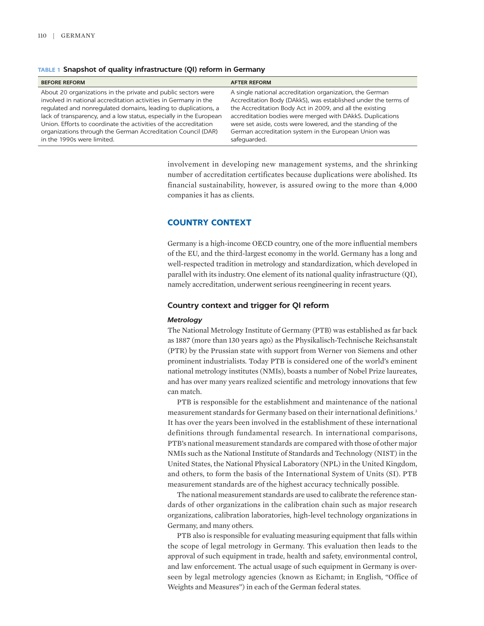| TABLE 1 Snapshot of quality infrastructure (QI) reform in Germany |  |  |  |  |  |  |  |
|-------------------------------------------------------------------|--|--|--|--|--|--|--|
|-------------------------------------------------------------------|--|--|--|--|--|--|--|

| <b>BEFORE REFORM</b>                                               | <b>AFTER REFORM</b>                                            |
|--------------------------------------------------------------------|----------------------------------------------------------------|
| About 20 organizations in the private and public sectors were      | A single national accreditation organization, the German       |
| involved in national accreditation activities in Germany in the    | Accreditation Body (DAkkS), was established under the terms of |
| regulated and nonregulated domains, leading to duplications, a     | the Accreditation Body Act in 2009, and all the existing       |
| lack of transparency, and a low status, especially in the European | accreditation bodies were merged with DAkkS. Duplications      |
| Union. Efforts to coordinate the activities of the accreditation   | were set aside, costs were lowered, and the standing of the    |
| organizations through the German Accreditation Council (DAR)       | German accreditation system in the European Union was          |
| in the 1990s were limited.                                         | safequarded.                                                   |

involvement in developing new management systems, and the shrinking number of accreditation certificates because duplications were abolished. Its financial sustainability, however, is assured owing to the more than 4,000 companies it has as clients.

#### **COUNTRY CONTEXT**

Germany is a high-income OECD country, one of the more influential members of the EU, and the third-largest economy in the world. Germany has a long and well-respected tradition in metrology and standardization, which developed in parallel with its industry. One element of its national quality infrastructure (QI), namely accreditation, underwent serious reengineering in recent years.

#### **Country context and trigger for QI reform**

#### *Metrology*

The National Metrology Institute of Germany (PTB) was established as far back as 1887 (more than 130 years ago) as the Physikalisch-Technische Reichsanstalt (PTR) by the Prussian state with support from Werner von Siemens and other prominent industrialists. Today PTB is considered one of the world's eminent national metrology institutes (NMIs), boasts a number of Nobel Prize laureates, and has over many years realized scientific and metrology innovations that few can match.

PTB is responsible for the establishment and maintenance of the national measurement standards for Germany based on their international definitions.3 It has over the years been involved in the establishment of these international definitions through fundamental research. In international comparisons, PTB's national measurement standards are compared with those of other major NMIs such as the National Institute of Standards and Technology (NIST) in the United States, the National Physical Laboratory (NPL) in the United Kingdom, and others, to form the basis of the International System of Units (SI). PTB measurement standards are of the highest accuracy technically possible.

The national measurement standards are used to calibrate the reference standards of other organizations in the calibration chain such as major research organizations, calibration laboratories, high-level technology organizations in Germany, and many others.

PTB also is responsible for evaluating measuring equipment that falls within the scope of legal metrology in Germany. This evaluation then leads to the approval of such equipment in trade, health and safety, environmental control, and law enforcement. The actual usage of such equipment in Germany is overseen by legal metrology agencies (known as Eichamt; in English, "Office of Weights and Measures") in each of the German federal states.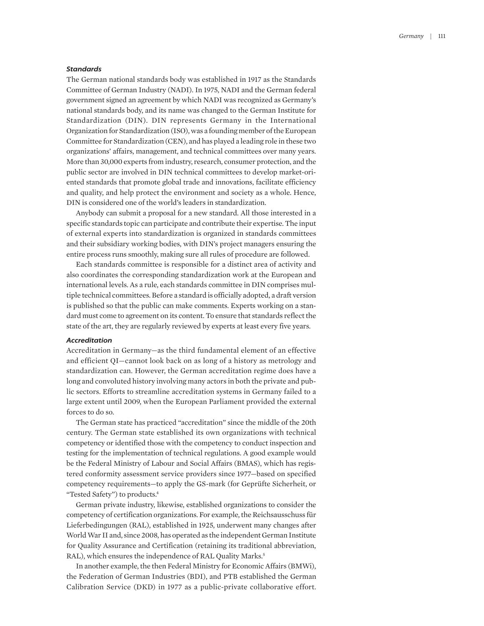#### *Standards*

The German national standards body was established in 1917 as the Standards Committee of German Industry (NADI). In 1975, NADI and the German federal government signed an agreement by which NADI was recognized as Germany's national standards body, and its name was changed to the German Institute for Standardization (DIN). DIN represents Germany in the International Organization for Standardization (ISO), was a founding member of the European Committee for Standardization (CEN), and has played a leading role in these two organizations' affairs, management, and technical committees over many years. More than 30,000 experts from industry, research, consumer protection, and the public sector are involved in DIN technical committees to develop market-oriented standards that promote global trade and innovations, facilitate efficiency and quality, and help protect the environment and society as a whole. Hence, DIN is considered one of the world's leaders in standardization.

Anybody can submit a proposal for a new standard. All those interested in a specific standards topic can participate and contribute their expertise. The input of external experts into standardization is organized in standards committees and their subsidiary working bodies, with DIN's project managers ensuring the entire process runs smoothly, making sure all rules of procedure are followed.

Each standards committee is responsible for a distinct area of activity and also coordinates the corresponding standardization work at the European and international levels. As a rule, each standards committee in DIN comprises multiple technical committees. Before a standard is officially adopted, a draft version is published so that the public can make comments. Experts working on a standard must come to agreement on its content. To ensure that standards reflect the state of the art, they are regularly reviewed by experts at least every five years.

#### *Accreditation*

Accreditation in Germany—as the third fundamental element of an effective and efficient QI—cannot look back on as long of a history as metrology and standardization can. However, the German accreditation regime does have a long and convoluted history involving many actors in both the private and public sectors. Efforts to streamline accreditation systems in Germany failed to a large extent until 2009, when the European Parliament provided the external forces to do so.

The German state has practiced "accreditation" since the middle of the 20th century. The German state established its own organizations with technical competency or identified those with the competency to conduct inspection and testing for the implementation of technical regulations. A good example would be the Federal Ministry of Labour and Social Affairs (BMAS), which has registered conformity assessment service providers since 1977—based on specified competency requirements—to apply the GS-mark (for Geprüfte Sicherheit, or "Tested Safety") to products.4

German private industry, likewise, established organizations to consider the competency of certification organizations. For example, the Reichsausschuss für Lieferbedingungen (RAL), established in 1925, underwent many changes after World War II and, since 2008, has operated as the independent German Institute for Quality Assurance and Certification (retaining its traditional abbreviation, RAL), which ensures the independence of RAL Quality Marks.<sup>5</sup>

In another example, the then Federal Ministry for Economic Affairs (BMWi), the Federation of German Industries (BDI), and PTB established the German Calibration Service (DKD) in 1977 as a public-private collaborative effort.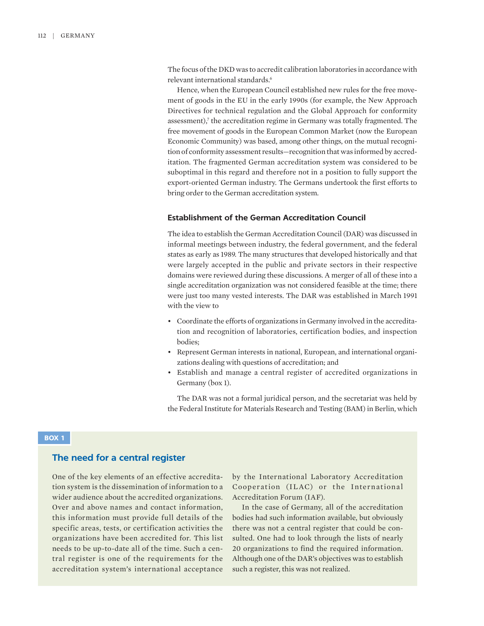The focus of the DKD was to accredit calibration laboratories in accordance with relevant international standards.<sup>6</sup>

Hence, when the European Council established new rules for the free movement of goods in the EU in the early 1990s (for example, the New Approach Directives for technical regulation and the Global Approach for conformity assessment),<sup>7</sup> the accreditation regime in Germany was totally fragmented. The free movement of goods in the European Common Market (now the European Economic Community) was based, among other things, on the mutual recognition of conformity assessment results—recognition that was informed by accreditation. The fragmented German accreditation system was considered to be suboptimal in this regard and therefore not in a position to fully support the export-oriented German industry. The Germans undertook the first efforts to bring order to the German accreditation system.

#### **Establishment of the German Accreditation Council**

The idea to establish the German Accreditation Council (DAR) was discussed in informal meetings between industry, the federal government, and the federal states as early as 1989. The many structures that developed historically and that were largely accepted in the public and private sectors in their respective domains were reviewed during these discussions. A merger of all of these into a single accreditation organization was not considered feasible at the time; there were just too many vested interests. The DAR was established in March 1991 with the view to

- Coordinate the efforts of organizations in Germany involved in the accreditation and recognition of laboratories, certification bodies, and inspection bodies;
- Represent German interests in national, European, and international organizations dealing with questions of accreditation; and
- Establish and manage a central register of accredited organizations in Germany (box 1).

The DAR was not a formal juridical person, and the secretariat was held by the Federal Institute for Materials Research and Testing (BAM) in Berlin, which

#### **BOX 1**

#### **The need for a central register**

One of the key elements of an effective accreditation system is the dissemination of information to a wider audience about the accredited organizations. Over and above names and contact information, this information must provide full details of the specific areas, tests, or certification activities the organizations have been accredited for. This list needs to be up-to-date all of the time. Such a central register is one of the requirements for the accreditation system's international acceptance

by the International Laboratory Accreditation Cooperation (ILAC) or the International Accreditation Forum (IAF).

In the case of Germany, all of the accreditation bodies had such information available, but obviously there was not a central register that could be consulted. One had to look through the lists of nearly 20 organizations to find the required information. Although one of the DAR's objectives was to establish such a register, this was not realized.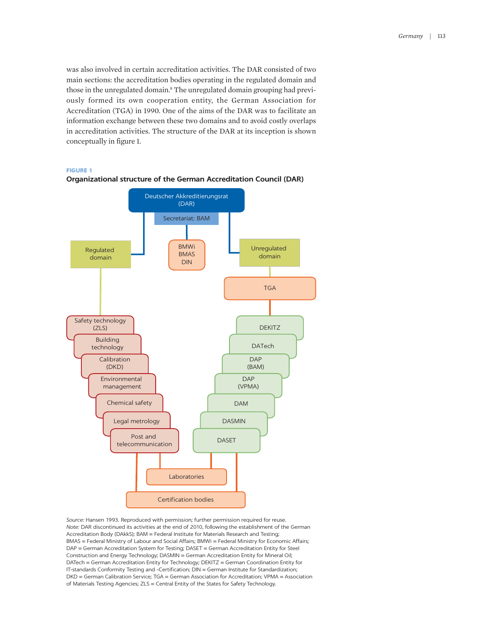was also involved in certain accreditation activities. The DAR consisted of two main sections: the accreditation bodies operating in the regulated domain and those in the unregulated domain.8 The unregulated domain grouping had previously formed its own cooperation entity, the German Association for Accreditation (TGA) in 1990. One of the aims of the DAR was to facilitate an information exchange between these two domains and to avoid costly overlaps in accreditation activities. The structure of the DAR at its inception is shown conceptually in figure 1.

#### **FIGURE 1**



**Organizational structure of the German Accreditation Council (DAR)**

*Source:* Hansen 1993. Reproduced with permission; further permission required for reuse. *Note:* DAR discontinued its activities at the end of 2010, following the establishment of the German Accreditation Body (DAkkS); BAM = Federal Institute for Materials Research and Testing; BMAS = Federal Ministry of Labour and Social Affairs; BMWi = Federal Ministry for Economic Affairs; DAP = German Accreditation System for Testing; DASET = German Accreditation Entity for Steel Construction and Energy Technology; DASMIN = German Accreditation Entity for Mineral Oil; DATech = German Accreditation Entity for Technology; DEKITZ = German Coordination Entity for IT-standards Conformity Testing and -Certification; DIN = German Institute for Standardization; DKD = German Calibration Service; TGA = German Association for Accreditation; VPMA = Association of Materials Testing Agencies; ZLS = Central Entity of the States for Safety Technology.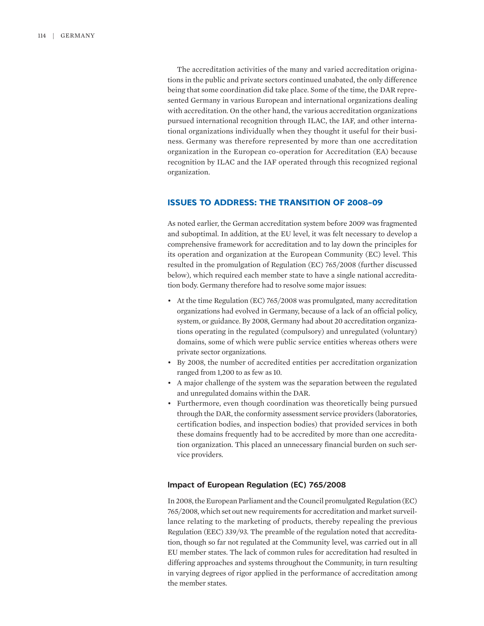The accreditation activities of the many and varied accreditation originations in the public and private sectors continued unabated, the only difference being that some coordination did take place. Some of the time, the DAR represented Germany in various European and international organizations dealing with accreditation. On the other hand, the various accreditation organizations pursued international recognition through ILAC, the IAF, and other international organizations individually when they thought it useful for their business. Germany was therefore represented by more than one accreditation organization in the European co-operation for Accreditation (EA) because recognition by ILAC and the IAF operated through this recognized regional organization.

#### **ISSUES TO ADDRESS: THE TRANSITION OF 2008–09**

As noted earlier, the German accreditation system before 2009 was fragmented and suboptimal. In addition, at the EU level, it was felt necessary to develop a comprehensive framework for accreditation and to lay down the principles for its operation and organization at the European Community (EC) level. This resulted in the promulgation of Regulation (EC) 765/2008 (further discussed below), which required each member state to have a single national accreditation body. Germany therefore had to resolve some major issues:

- At the time Regulation (EC) 765/2008 was promulgated, many accreditation organizations had evolved in Germany, because of a lack of an official policy, system, or guidance. By 2008, Germany had about 20 accreditation organizations operating in the regulated (compulsory) and unregulated (voluntary) domains, some of which were public service entities whereas others were private sector organizations.
- By 2008, the number of accredited entities per accreditation organization ranged from 1,200 to as few as 10.
- A major challenge of the system was the separation between the regulated and unregulated domains within the DAR.
- Furthermore, even though coordination was theoretically being pursued through the DAR, the conformity assessment service providers (laboratories, certification bodies, and inspection bodies) that provided services in both these domains frequently had to be accredited by more than one accreditation organization. This placed an unnecessary financial burden on such service providers.

#### **Impact of European Regulation (EC) 765/2008**

In 2008, the European Parliament and the Council promulgated Regulation (EC) 765/2008, which set out new requirements for accreditation and market surveillance relating to the marketing of products, thereby repealing the previous Regulation (EEC) 339/93. The preamble of the regulation noted that accreditation, though so far not regulated at the Community level, was carried out in all EU member states. The lack of common rules for accreditation had resulted in differing approaches and systems throughout the Community, in turn resulting in varying degrees of rigor applied in the performance of accreditation among the member states.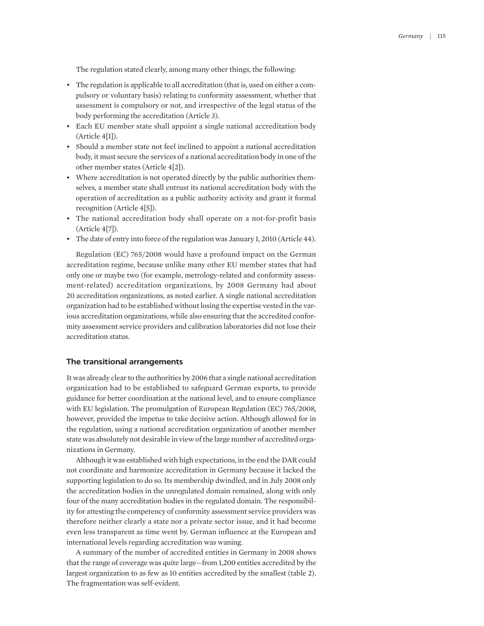The regulation stated clearly, among many other things, the following:

- The regulation is applicable to all accreditation (that is, used on either a compulsory or voluntary basis) relating to conformity assessment, whether that assessment is compulsory or not, and irrespective of the legal status of the body performing the accreditation (Article 3).
- Each EU member state shall appoint a single national accreditation body (Article 4[1]).
- Should a member state not feel inclined to appoint a national accreditation body, it must secure the services of a national accreditation body in one of the other member states (Article 4[2]).
- Where accreditation is not operated directly by the public authorities themselves, a member state shall entrust its national accreditation body with the operation of accreditation as a public authority activity and grant it formal recognition (Article 4[5]).
- The national accreditation body shall operate on a not-for-profit basis (Article 4[7]).
- The date of entry into force of the regulation was January 1, 2010 (Article 44).

Regulation (EC) 765/2008 would have a profound impact on the German accreditation regime, because unlike many other EU member states that had only one or maybe two (for example, metrology-related and conformity assessment-related) accreditation organizations, by 2008 Germany had about 20 accreditation organizations, as noted earlier. A single national accreditation organization had to be established without losing the expertise vested in the various accreditation organizations, while also ensuring that the accredited conformity assessment service providers and calibration laboratories did not lose their accreditation status.

#### **The transitional arrangements**

It was already clear to the authorities by 2006 that a single national accreditation organization had to be established to safeguard German exports, to provide guidance for better coordination at the national level, and to ensure compliance with EU legislation. The promulgation of European Regulation (EC) 765/2008, however, provided the impetus to take decisive action. Although allowed for in the regulation, using a national accreditation organization of another member state was absolutely not desirable in view of the large number of accredited organizations in Germany.

Although it was established with high expectations, in the end the DAR could not coordinate and harmonize accreditation in Germany because it lacked the supporting legislation to do so. Its membership dwindled, and in July 2008 only the accreditation bodies in the unregulated domain remained, along with only four of the many accreditation bodies in the regulated domain. The responsibility for attesting the competency of conformity assessment service providers was therefore neither clearly a state nor a private sector issue, and it had become even less transparent as time went by. German influence at the European and international levels regarding accreditation was waning.

A summary of the number of accredited entities in Germany in 2008 shows that the range of coverage was quite large—from 1,200 entities accredited by the largest organization to as few as 10 entities accredited by the smallest (table 2). The fragmentation was self-evident.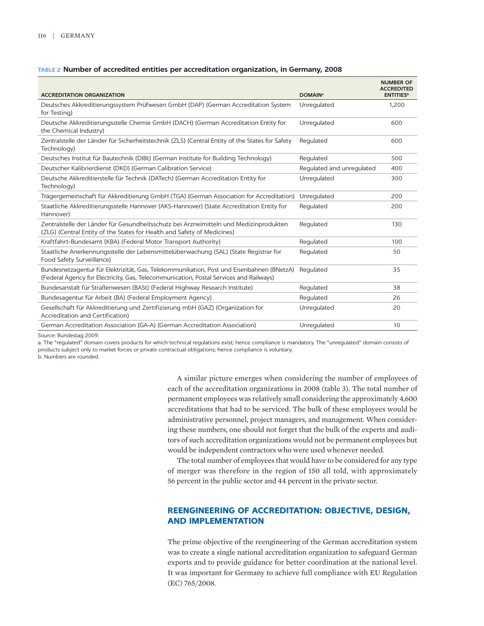| TABLE 2 Number of accredited entities per accreditation organization, in Germany, 2008 |  |
|----------------------------------------------------------------------------------------|--|
|----------------------------------------------------------------------------------------|--|

| <b>ACCREDITATION ORGANIZATION</b>                                                                                                                                                   | <b>DOMAIN</b> <sup>a</sup> | <b>NUMBER OF</b><br><b>ACCREDITED</b><br><b>ENTITIES</b> <sup>b</sup> |
|-------------------------------------------------------------------------------------------------------------------------------------------------------------------------------------|----------------------------|-----------------------------------------------------------------------|
| Deutsches Akkreditierungssystem Prüfwesen GmbH (DAP) (German Accreditation System<br>for Testing)                                                                                   | Unregulated                | 1,200                                                                 |
| Deutsche Akkreditierungsstelle Chemie GmbH (DACH) (German Accreditation Entity for<br>the Chemical Industry)                                                                        | Unregulated                | 600                                                                   |
| Zentralstelle der Länder für Sicherheitstechnik (ZLS) (Central Entity of the States for Safety<br>Technology)                                                                       | Regulated                  | 600                                                                   |
| Deutsches Institut für Bautechnik (DIBt) (German Institute for Building Technology)                                                                                                 | Regulated                  | 500                                                                   |
| Deutscher Kalibrierdienst (DKD) (German Calibration Service)                                                                                                                        | Regulated and unregulated  | 400                                                                   |
| Deutsche Akkreditierstelle für Technik (DATech) (German Accreditation Entity for<br>Technology)                                                                                     | Unregulated                | 300                                                                   |
| Trägergemeinschaft für Akkreditierung GmbH (TGA) (German Association for Accreditation)                                                                                             | Unregulated                | 200                                                                   |
| Staatliche Akkreditierungsstelle Hannover (AKS-Hannover) (State Accreditation Entity for<br>Hannover)                                                                               | Regulated                  | 200                                                                   |
| Zentralstelle der Länder für Gesundheitsschutz bei Arzneimitteln und Medizinprodukten<br>(ZLG) (Central Entity of the States for Health and Safety of Medicines)                    | Regulated                  | 130                                                                   |
| Kraftfahrt-Bundesamt (KBA) (Federal Motor Transport Authority)                                                                                                                      | Regulated                  | 100                                                                   |
| Staatliche Anerkennungsstelle der Lebensmittelüberwachung (SAL) (State Registrar for<br>Food Safety Surveillance)                                                                   | Regulated                  | 50                                                                    |
| Bundesnetzagentur für Elektrizität, Gas, Telekommunikation, Post und Eisenbahnen (BNetzA)<br>(Federal Agency for Electricity, Gas, Telecommunication, Postal Services and Railways) | Regulated                  | 35                                                                    |
| Bundesanstalt für Straßenwesen (BASt) (Federal Highway Research Institute)                                                                                                          | Regulated                  | 38                                                                    |
| Bundesagentur für Arbeit (BA) (Federal Employment Agency)                                                                                                                           | Regulated                  | 26                                                                    |
| Gesellschaft für Akkreditierung und Zertifizierung mbH (GAZ) (Organization for<br>Accreditation and Certification)                                                                  | Unregulated                | 20                                                                    |
| German Accreditation Association (GA-A) (German Accreditation Association)                                                                                                          | Unregulated                | 10                                                                    |
|                                                                                                                                                                                     |                            |                                                                       |

*Source:* Bundestag 2009.

a. The "regulated" domain covers products for which technical regulations exist; hence compliance is mandatory. The "unregulated" domain consists of products subject only to market forces or private contractual obligations; hence compliance is voluntary.

b. Numbers are rounded.

A similar picture emerges when considering the number of employees of each of the accreditation organizations in 2008 (table 3). The total number of permanent employees was relatively small considering the approximately 4,600 accreditations that had to be serviced. The bulk of these employees would be administrative personnel, project managers, and management. When considering these numbers, one should not forget that the bulk of the experts and auditors of such accreditation organizations would not be permanent employees but would be independent contractors who were used whenever needed.

The total number of employees that would have to be considered for any type of merger was therefore in the region of 150 all told, with approximately 56 percent in the public sector and 44 percent in the private sector.

#### **REENGINEERING OF ACCREDITATION: OBJECTIVE, DESIGN, AND IMPLEMENTATION**

The prime objective of the reengineering of the German accreditation system was to create a single national accreditation organization to safeguard German exports and to provide guidance for better coordination at the national level. It was important for Germany to achieve full compliance with EU Regulation (EC) 765/2008.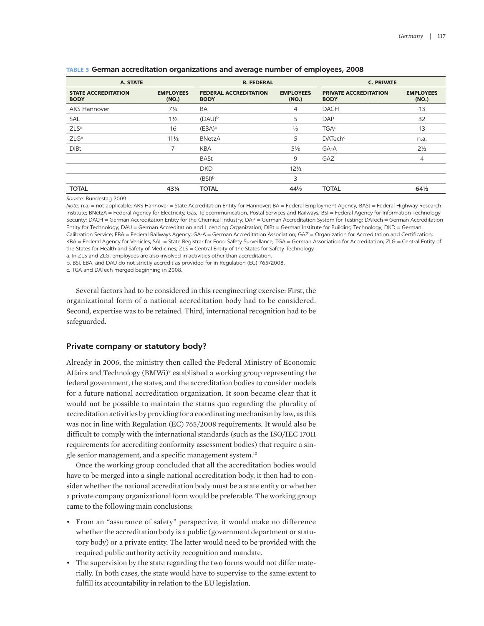| A. STATE                                  |                           | <b>B. FEDERAL</b>                           |                           | <b>C. PRIVATE</b>                           |                           |  |
|-------------------------------------------|---------------------------|---------------------------------------------|---------------------------|---------------------------------------------|---------------------------|--|
| <b>STATE ACCREDITATION</b><br><b>BODY</b> | <b>EMPLOYEES</b><br>(NO.) | <b>FEDERAL ACCREDITATION</b><br><b>BODY</b> | <b>EMPLOYEES</b><br>(NO.) | <b>PRIVATE ACCREDITATION</b><br><b>BODY</b> | <b>EMPLOYEES</b><br>(NO.) |  |
| <b>AKS Hannover</b>                       | $7\frac{1}{4}$            | <b>BA</b>                                   | 4                         | <b>DACH</b>                                 | 13                        |  |
| <b>SAL</b>                                | $1\frac{1}{2}$            | $(DAU)^b$                                   | 5                         | <b>DAP</b>                                  | 32                        |  |
| $ZLS^a$                                   | 16                        | $(EBA)^b$                                   | $\frac{1}{3}$             | <b>TGA</b> <sup>c</sup>                     | 13                        |  |
| $ZLG^a$                                   | $11\frac{1}{2}$           | <b>BNetzA</b>                               | 5                         | DATech <sup>c</sup>                         | n.a.                      |  |
| <b>DIBt</b>                               |                           | <b>KBA</b>                                  | $5\frac{1}{2}$            | GA-A                                        | $2\frac{1}{2}$            |  |
|                                           |                           | <b>BASt</b>                                 | 9                         | <b>GAZ</b>                                  | 4                         |  |
|                                           |                           | <b>DKD</b>                                  | $12\frac{1}{2}$           |                                             |                           |  |
|                                           |                           | (BSI) <sup>b</sup>                          | 3                         |                                             |                           |  |
| <b>TOTAL</b>                              | 431/4                     | <b>TOTAL</b>                                | $44\frac{1}{3}$           | <b>TOTAL</b>                                | $64\frac{1}{2}$           |  |

#### **TABLE 3 German accreditation organizations and average number of employees, 2008**

*Source:* Bundestag 2009.

*Note:* n.a. = not applicable; AKS Hannover = State Accreditation Entity for Hannover; BA = Federal Employment Agency; BASt = Federal Highway Research Institute; BNetzA = Federal Agency for Electricity, Gas, Telecommunication, Postal Services and Railways; BSI = Federal Agency for Information Technology Security; DACH = German Accreditation Entity for the Chemical Industry; DAP = German Accreditation System for Testing; DATech = German Accreditation Entity for Technology; DAU = German Accreditation and Licencing Organization; DIBt = German Institute for Building Technology; DKD = German Calibration Service; EBA = Federal Railways Agency; GA-A = German Accreditation Association; GAZ = Organization for Accreditation and Certification; KBA = Federal Agency for Vehicles; SAL = State Registrar for Food Safety Surveillance; TGA = German Association for Accreditation; ZLG = Central Entity of the States for Health and Safety of Medicines; ZLS = Central Entity of the States for Safety Technology.

a. In ZLS and ZLG, employees are also involved in activities other than accreditation.

b. BSI, EBA, and DAU do not strictly accredit as provided for in Regulation (EC) 765/2008.

c. TGA and DATech merged beginning in 2008.

Several factors had to be considered in this reengineering exercise: First, the organizational form of a national accreditation body had to be considered. Second, expertise was to be retained. Third, international recognition had to be safeguarded.

#### **Private company or statutory body?**

Already in 2006, the ministry then called the Federal Ministry of Economic Affairs and Technology (BMWi)<sup>9</sup> established a working group representing the federal government, the states, and the accreditation bodies to consider models for a future national accreditation organization. It soon became clear that it would not be possible to maintain the status quo regarding the plurality of accreditation activities by providing for a coordinating mechanism by law, as this was not in line with Regulation (EC) 765/2008 requirements. It would also be difficult to comply with the international standards (such as the ISO/IEC 17011 requirements for accrediting conformity assessment bodies) that require a single senior management, and a specific management system.<sup>10</sup>

Once the working group concluded that all the accreditation bodies would have to be merged into a single national accreditation body, it then had to consider whether the national accreditation body must be a state entity or whether a private company organizational form would be preferable. The working group came to the following main conclusions:

- From an "assurance of safety" perspective, it would make no difference whether the accreditation body is a public (government department or statutory body) or a private entity. The latter would need to be provided with the required public authority activity recognition and mandate.
- The supervision by the state regarding the two forms would not differ materially. In both cases, the state would have to supervise to the same extent to fulfill its accountability in relation to the EU legislation.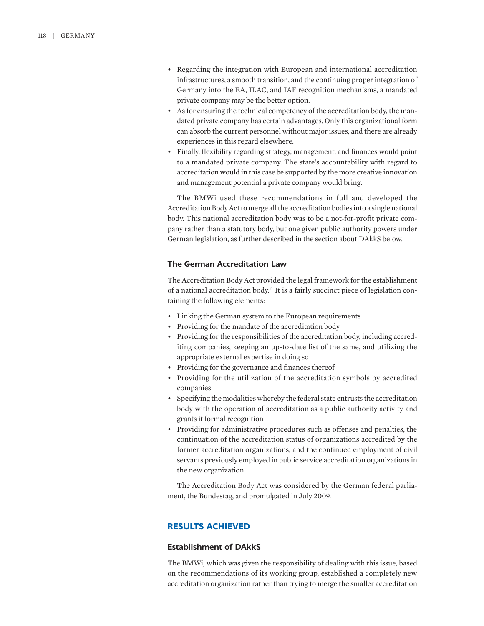- Regarding the integration with European and international accreditation infrastructures, a smooth transition, and the continuing proper integration of Germany into the EA, ILAC, and IAF recognition mechanisms, a mandated private company may be the better option.
- As for ensuring the technical competency of the accreditation body, the mandated private company has certain advantages. Only this organizational form can absorb the current personnel without major issues, and there are already experiences in this regard elsewhere.
- Finally, flexibility regarding strategy, management, and finances would point to a mandated private company. The state's accountability with regard to accreditation would in this case be supported by the more creative innovation and management potential a private company would bring.

The BMWi used these recommendations in full and developed the Accreditation Body Act to merge all the accreditation bodies into a single national body. This national accreditation body was to be a not-for-profit private company rather than a statutory body, but one given public authority powers under German legislation, as further described in the section about DAkkS below.

#### **The German Accreditation Law**

The Accreditation Body Act provided the legal framework for the establishment of a national accreditation body.<sup>11</sup> It is a fairly succinct piece of legislation containing the following elements:

- Linking the German system to the European requirements
- Providing for the mandate of the accreditation body
- Providing for the responsibilities of the accreditation body, including accrediting companies, keeping an up-to-date list of the same, and utilizing the appropriate external expertise in doing so
- Providing for the governance and finances thereof
- Providing for the utilization of the accreditation symbols by accredited companies
- Specifying the modalities whereby the federal state entrusts the accreditation body with the operation of accreditation as a public authority activity and grants it formal recognition
- Providing for administrative procedures such as offenses and penalties, the continuation of the accreditation status of organizations accredited by the former accreditation organizations, and the continued employment of civil servants previously employed in public service accreditation organizations in the new organization.

The Accreditation Body Act was considered by the German federal parliament, the Bundestag, and promulgated in July 2009.

#### **RESULTS ACHIEVED**

#### **Establishment of DAkkS**

The BMWi, which was given the responsibility of dealing with this issue, based on the recommendations of its working group, established a completely new accreditation organization rather than trying to merge the smaller accreditation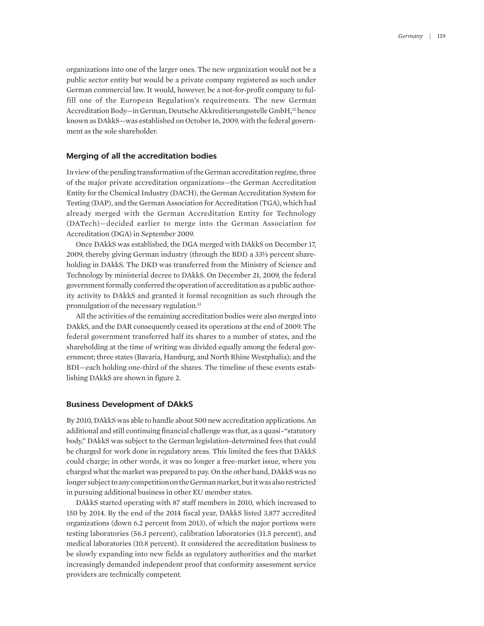organizations into one of the larger ones. The new organization would not be a public sector entity but would be a private company registered as such under German commercial law. It would, however, be a not-for-profit company to fulfill one of the European Regulation's requirements. The new German Accreditation Body—in German, Deutsche Akkreditierungsstelle GmbH,<sup>12</sup> hence known as DAkkS—was established on October 16, 2009, with the federal government as the sole shareholder.

#### **Merging of all the accreditation bodies**

In view of the pending transformation of the German accreditation regime, three of the major private accreditation organizations—the German Accreditation Entity for the Chemical Industry (DACH), the German Accreditation System for Testing (DAP), and the German Association for Accreditation (TGA), which had already merged with the German Accreditation Entity for Technology (DATech)—decided earlier to merge into the German Association for Accreditation (DGA) in September 2009.

Once DAkkS was established, the DGA merged with DAkkS on December 17, 2009, thereby giving German industry (through the BDI) a 33⅓ percent shareholding in DAkkS. The DKD was transferred from the Ministry of Science and Technology by ministerial decree to DAkkS. On December 21, 2009, the federal government formally conferred the operation of accreditation as a public authority activity to DAkkS and granted it formal recognition as such through the promulgation of the necessary regulation.13

All the activities of the remaining accreditation bodies were also merged into DAkkS, and the DAR consequently ceased its operations at the end of 2009. The federal government transferred half its shares to a number of states, and the shareholding at the time of writing was divided equally among the federal government; three states (Bavaria, Hamburg, and North Rhine Westphalia); and the BDI—each holding one-third of the shares. The timeline of these events establishing DAkkS are shown in figure 2.

#### **Business Development of DAkkS**

By 2010, DAkkS was able to handle about 500 new accreditation applications. An additional and still continuing financial challenge was that, as a quasi–"statutory body," DAkkS was subject to the German legislation-determined fees that could be charged for work done in regulatory areas. This limited the fees that DAkkS could charge; in other words, it was no longer a free-market issue, where you charged what the market was prepared to pay. On the other hand, DAkkS was no longer subject to any competition on the German market, but it was also restricted in pursuing additional business in other EU member states.

DAkkS started operating with 87 staff members in 2010, which increased to 150 by 2014. By the end of the 2014 fiscal year, DAkkS listed 3,877 accredited organizations (down 6.2 percent from 2013), of which the major portions were testing laboratories (56.3 percent), calibration laboratories (11.5 percent), and medical laboratories (10.8 percent). It considered the accreditation business to be slowly expanding into new fields as regulatory authorities and the market increasingly demanded independent proof that conformity assessment service providers are technically competent.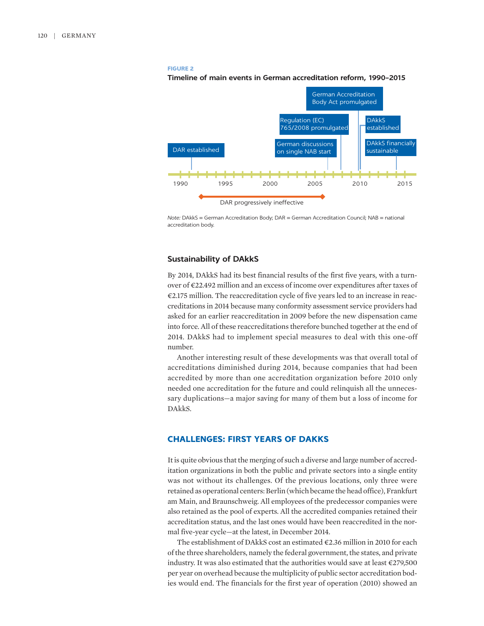#### **FIGURE 2**



**Timeline of main events in German accreditation reform, 1990–2015**

#### **Sustainability of DAkkS**

By 2014, DAkkS had its best financial results of the first five years, with a turnover of €22.492 million and an excess of income over expenditures after taxes of €2.175 million. The reaccreditation cycle of five years led to an increase in reaccreditations in 2014 because many conformity assessment service providers had asked for an earlier reaccreditation in 2009 before the new dispensation came into force. All of these reaccreditations therefore bunched together at the end of 2014. DAkkS had to implement special measures to deal with this one-off number.

Another interesting result of these developments was that overall total of accreditations diminished during 2014, because companies that had been accredited by more than one accreditation organization before 2010 only needed one accreditation for the future and could relinquish all the unnecessary duplications—a major saving for many of them but a loss of income for DAkkS.

#### **CHALLENGES: FIRST YEARS OF DAKKS**

It is quite obvious that the merging of such a diverse and large number of accreditation organizations in both the public and private sectors into a single entity was not without its challenges. Of the previous locations, only three were retained as operational centers: Berlin (which became the head office), Frankfurt am Main, and Braunschweig. All employees of the predecessor companies were also retained as the pool of experts. All the accredited companies retained their accreditation status, and the last ones would have been reaccredited in the normal five-year cycle—at the latest, in December 2014.

The establishment of DAkkS cost an estimated €2.36 million in 2010 for each of the three shareholders, namely the federal government, the states, and private industry. It was also estimated that the authorities would save at least  $\epsilon$ 279,500 per year on overhead because the multiplicity of public sector accreditation bodies would end. The financials for the first year of operation (2010) showed an

*Note:* DAkkS = German Accreditation Body; DAR = German Accreditation Council; NAB = national accreditation body.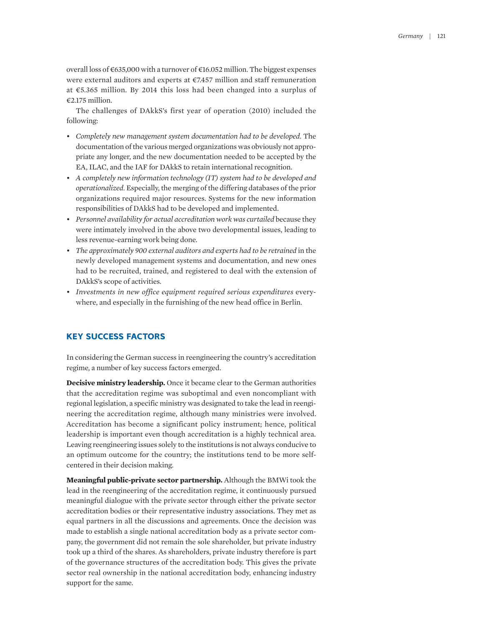overall loss of €635,000 with a turnover of €16.052 million. The biggest expenses were external auditors and experts at €7.457 million and staff remuneration at  $\epsilon$ 5.365 million. By 2014 this loss had been changed into a surplus of €2.175 million.

The challenges of DAkkS's first year of operation (2010) included the following:

- *Completely new management system documentation had to be developed.* The documentation of the various merged organizations was obviously not appropriate any longer, and the new documentation needed to be accepted by the EA, ILAC, and the IAF for DAkkS to retain international recognition.
- *A completely new information technology (IT) system had to be developed and operationalized*. Especially, the merging of the differing databases of the prior organizations required major resources. Systems for the new information responsibilities of DAkkS had to be developed and implemented.
- *Personnel availability for actual accreditation work was curtailed* because they were intimately involved in the above two developmental issues, leading to less revenue-earning work being done.
- *The approximately 900 external auditors and experts had to be retrained* in the newly developed management systems and documentation, and new ones had to be recruited, trained, and registered to deal with the extension of DAkkS's scope of activities.
- *Investments in new office equipment required serious expenditures* everywhere, and especially in the furnishing of the new head office in Berlin.

#### **KEY SUCCESS FACTORS**

In considering the German success in reengineering the country's accreditation regime, a number of key success factors emerged.

**Decisive ministry leadership.** Once it became clear to the German authorities that the accreditation regime was suboptimal and even noncompliant with regional legislation, a specific ministry was designated to take the lead in reengineering the accreditation regime, although many ministries were involved. Accreditation has become a significant policy instrument; hence, political leadership is important even though accreditation is a highly technical area. Leaving reengineering issues solely to the institutions is not always conducive to an optimum outcome for the country; the institutions tend to be more selfcentered in their decision making.

**Meaningful public-private sector partnership.** Although the BMWi took the lead in the reengineering of the accreditation regime, it continuously pursued meaningful dialogue with the private sector through either the private sector accreditation bodies or their representative industry associations. They met as equal partners in all the discussions and agreements. Once the decision was made to establish a single national accreditation body as a private sector company, the government did not remain the sole shareholder, but private industry took up a third of the shares. As shareholders, private industry therefore is part of the governance structures of the accreditation body. This gives the private sector real ownership in the national accreditation body, enhancing industry support for the same.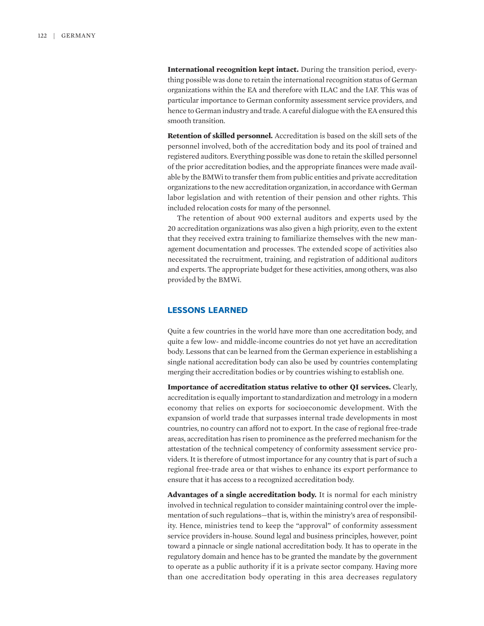**International recognition kept intact.** During the transition period, everything possible was done to retain the international recognition status of German organizations within the EA and therefore with ILAC and the IAF. This was of particular importance to German conformity assessment service providers, and hence to German industry and trade. A careful dialogue with the EA ensured this smooth transition.

**Retention of skilled personnel.** Accreditation is based on the skill sets of the personnel involved, both of the accreditation body and its pool of trained and registered auditors. Everything possible was done to retain the skilled personnel of the prior accreditation bodies, and the appropriate finances were made available by the BMWi to transfer them from public entities and private accreditation organizations to the new accreditation organization, in accordance with German labor legislation and with retention of their pension and other rights. This included relocation costs for many of the personnel.

The retention of about 900 external auditors and experts used by the 20 accreditation organizations was also given a high priority, even to the extent that they received extra training to familiarize themselves with the new management documentation and processes. The extended scope of activities also necessitated the recruitment, training, and registration of additional auditors and experts. The appropriate budget for these activities, among others, was also provided by the BMWi.

#### **LESSONS LEARNED**

Quite a few countries in the world have more than one accreditation body, and quite a few low- and middle-income countries do not yet have an accreditation body. Lessons that can be learned from the German experience in establishing a single national accreditation body can also be used by countries contemplating merging their accreditation bodies or by countries wishing to establish one.

**Importance of accreditation status relative to other QI services.** Clearly, accreditation is equally important to standardization and metrology in a modern economy that relies on exports for socioeconomic development. With the expansion of world trade that surpasses internal trade developments in most countries, no country can afford not to export. In the case of regional free-trade areas, accreditation has risen to prominence as the preferred mechanism for the attestation of the technical competency of conformity assessment service providers. It is therefore of utmost importance for any country that is part of such a regional free-trade area or that wishes to enhance its export performance to ensure that it has access to a recognized accreditation body.

**Advantages of a single accreditation body.** It is normal for each ministry involved in technical regulation to consider maintaining control over the implementation of such regulations—that is, within the ministry's area of responsibility. Hence, ministries tend to keep the "approval" of conformity assessment service providers in-house. Sound legal and business principles, however, point toward a pinnacle or single national accreditation body. It has to operate in the regulatory domain and hence has to be granted the mandate by the government to operate as a public authority if it is a private sector company. Having more than one accreditation body operating in this area decreases regulatory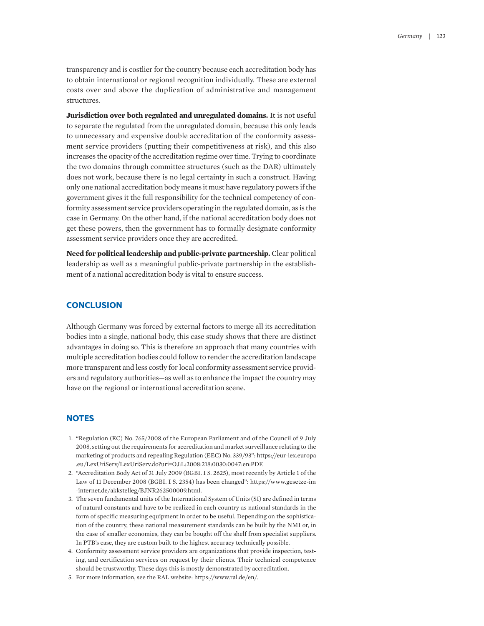transparency and is costlier for the country because each accreditation body has to obtain international or regional recognition individually. These are external costs over and above the duplication of administrative and management structures.

**Jurisdiction over both regulated and unregulated domains.** It is not useful to separate the regulated from the unregulated domain, because this only leads to unnecessary and expensive double accreditation of the conformity assessment service providers (putting their competitiveness at risk), and this also increases the opacity of the accreditation regime over time. Trying to coordinate the two domains through committee structures (such as the DAR) ultimately does not work, because there is no legal certainty in such a construct. Having only one national accreditation body means it must have regulatory powers if the government gives it the full responsibility for the technical competency of conformity assessment service providers operating in the regulated domain, as is the case in Germany. On the other hand, if the national accreditation body does not get these powers, then the government has to formally designate conformity assessment service providers once they are accredited.

**Need for political leadership and public-private partnership.** Clear political leadership as well as a meaningful public-private partnership in the establishment of a national accreditation body is vital to ensure success.

#### **CONCLUSION**

Although Germany was forced by external factors to merge all its accreditation bodies into a single, national body, this case study shows that there are distinct advantages in doing so. This is therefore an approach that many countries with multiple accreditation bodies could follow to render the accreditation landscape more transparent and less costly for local conformity assessment service providers and regulatory authorities—as well as to enhance the impact the country may have on the regional or international accreditation scene.

#### **NOTES**

- 1. "Regulation (EC) No. 765/2008 of the European Parliament and of the Council of 9 July 2008, setting out the requirements for accreditation and market surveillance relating to the marketing of products and repealing Regulation (EEC) No. 339/93": https://eur-lex.europa .eu/LexUriServ/LexUriServ.do?uri=OJ:L:2008:218:0030:0047:en:PDF.
- 2. "Accreditation Body Act of 31 July 2009 (BGBI. I S. 2625), most recently by Article 1 of the Law of 11 December 2008 (BGBI. I S. 2354) has been changed": https://www.gesetze-im -internet.de/akkstelleg/BJNR262500009.html.
- 3. The seven fundamental units of the International System of Units (SI) are defined in terms of natural constants and have to be realized in each country as national standards in the form of specific measuring equipment in order to be useful. Depending on the sophistication of the country, these national measurement standards can be built by the NMI or, in the case of smaller economies, they can be bought off the shelf from specialist suppliers. In PTB's case, they are custom built to the highest accuracy technically possible.
- 4. Conformity assessment service providers are organizations that provide inspection, testing, and certification services on request by their clients. Their technical competence should be trustworthy. These days this is mostly demonstrated by accreditation.
- 5. For more information, see the RAL website: https://www.ral.de/en/.